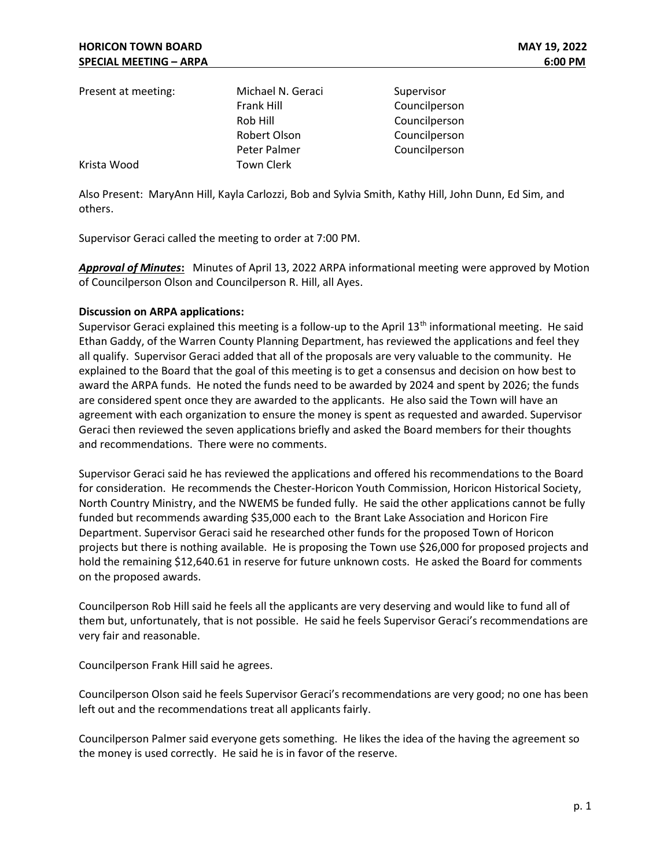| Present at meeting: | Michael N. Geraci | Supervisor    |
|---------------------|-------------------|---------------|
|                     | Frank Hill        | Councilperson |
|                     | Rob Hill          | Councilperson |
|                     | Robert Olson      | Councilperson |
|                     | Peter Palmer      | Councilperson |
| Krista Wood         | <b>Town Clerk</b> |               |

Also Present: MaryAnn Hill, Kayla Carlozzi, Bob and Sylvia Smith, Kathy Hill, John Dunn, Ed Sim, and others.

Supervisor Geraci called the meeting to order at 7:00 PM.

Approval of Minutes: Minutes of April 13, 2022 ARPA informational meeting were approved by Motion of Councilperson Olson and Councilperson R. Hill, all Ayes.

## Discussion on ARPA applications:

Supervisor Geraci explained this meeting is a follow-up to the April  $13<sup>th</sup>$  informational meeting. He said Ethan Gaddy, of the Warren County Planning Department, has reviewed the applications and feel they all qualify. Supervisor Geraci added that all of the proposals are very valuable to the community. He explained to the Board that the goal of this meeting is to get a consensus and decision on how best to award the ARPA funds. He noted the funds need to be awarded by 2024 and spent by 2026; the funds are considered spent once they are awarded to the applicants. He also said the Town will have an agreement with each organization to ensure the money is spent as requested and awarded. Supervisor Geraci then reviewed the seven applications briefly and asked the Board members for their thoughts and recommendations. There were no comments.

Supervisor Geraci said he has reviewed the applications and offered his recommendations to the Board for consideration. He recommends the Chester-Horicon Youth Commission, Horicon Historical Society, North Country Ministry, and the NWEMS be funded fully. He said the other applications cannot be fully funded but recommends awarding \$35,000 each to the Brant Lake Association and Horicon Fire Department. Supervisor Geraci said he researched other funds for the proposed Town of Horicon projects but there is nothing available. He is proposing the Town use \$26,000 for proposed projects and hold the remaining \$12,640.61 in reserve for future unknown costs. He asked the Board for comments on the proposed awards.

Councilperson Rob Hill said he feels all the applicants are very deserving and would like to fund all of them but, unfortunately, that is not possible. He said he feels Supervisor Geraci's recommendations are very fair and reasonable.

Councilperson Frank Hill said he agrees.

Councilperson Olson said he feels Supervisor Geraci's recommendations are very good; no one has been left out and the recommendations treat all applicants fairly.

Councilperson Palmer said everyone gets something. He likes the idea of the having the agreement so the money is used correctly. He said he is in favor of the reserve.